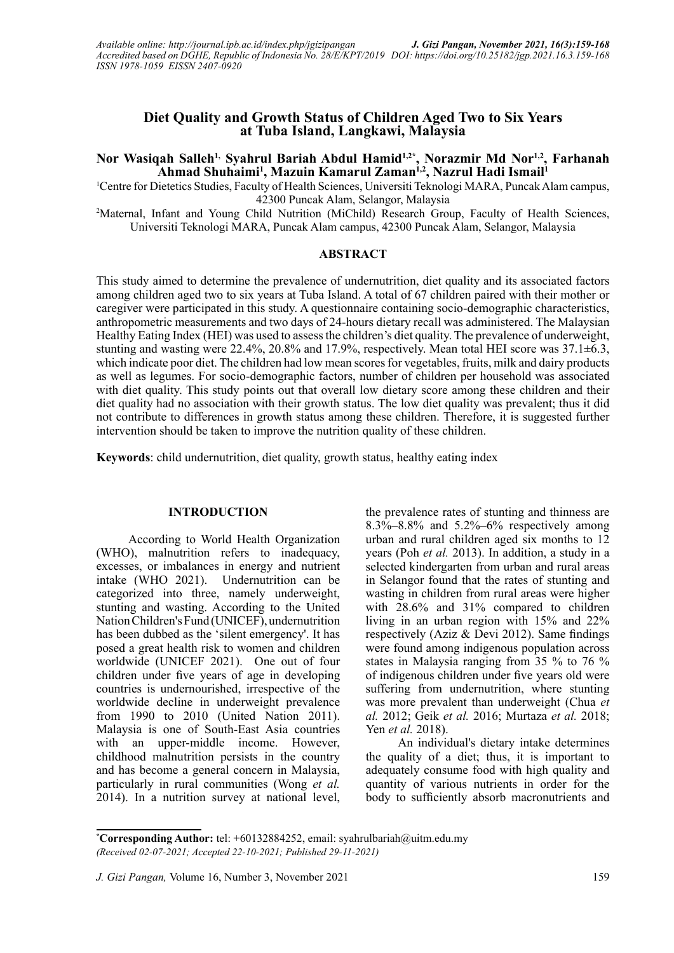## **Diet Quality and Growth Status of Children Aged Two to Six Years at Tuba Island, Langkawi, Malaysia**

# Nor Wasiqah Salleh<sup>1,</sup> Syahrul Bariah Abdul Hamid<sup>1,2\*</sup>, Norazmir Md Nor<sup>1,2</sup>, Farhanah **Ahmad Shuhaimi1 , Mazuin Kamarul Zaman1,2, Nazrul Hadi Ismail1**

1 Centre for Dietetics Studies, Faculty of Health Sciences, Universiti Teknologi MARA, Puncak Alam campus, 42300 Puncak Alam, Selangor, Malaysia

2 Maternal, Infant and Young Child Nutrition (MiChild) Research Group, Faculty of Health Sciences, Universiti Teknologi MARA, Puncak Alam campus, 42300 Puncak Alam, Selangor, Malaysia

#### **ABSTRACT**

This study aimed to determine the prevalence of undernutrition, diet quality and its associated factors among children aged two to six years at Tuba Island. A total of 67 children paired with their mother or caregiver were participated in this study. A questionnaire containing socio-demographic characteristics, anthropometric measurements and two days of 24-hours dietary recall was administered. The Malaysian Healthy Eating Index (HEI) was used to assess the children's diet quality. The prevalence of underweight, stunting and wasting were 22.4%, 20.8% and 17.9%, respectively. Mean total HEI score was 37.1±6.3, which indicate poor diet. The children had low mean scores for vegetables, fruits, milk and dairy products as well as legumes. For socio-demographic factors, number of children per household was associated with diet quality. This study points out that overall low dietary score among these children and their diet quality had no association with their growth status. The low diet quality was prevalent; thus it did not contribute to differences in growth status among these children. Therefore, it is suggested further intervention should be taken to improve the nutrition quality of these children.

**Keywords**: child undernutrition, diet quality, growth status, healthy eating index

#### **INTRODUCTION**

According to World Health Organization (WHO), malnutrition refers to inadequacy, excesses, or imbalances in energy and nutrient intake (WHO 2021). Undernutrition can be categorized into three, namely underweight, stunting and wasting. According to the United Nation Children's Fund (UNICEF), undernutrition has been dubbed as the 'silent emergency'. It has posed a great health risk to women and children worldwide (UNICEF 2021). One out of four children under five years of age in developing countries is undernourished, irrespective of the worldwide decline in underweight prevalence from 1990 to 2010 (United Nation 2011). Malaysia is one of South-East Asia countries with an upper-middle income. However, childhood malnutrition persists in the country and has become a general concern in Malaysia, particularly in rural communities (Wong *et al.* 2014). In a nutrition survey at national level,

the prevalence rates of stunting and thinness are  $8.3\% - 8.8\%$  and  $5.2\% - 6\%$  respectively among urban and rural children aged six months to 12 years (Poh *et al.* 2013). In addition, a study in a selected kindergarten from urban and rural areas in Selangor found that the rates of stunting and wasting in children from rural areas were higher with 28.6% and 31% compared to children living in an urban region with 15% and 22% respectively (Aziz & Devi 2012). Same findings were found among indigenous population across states in Malaysia ranging from 35 % to 76 % of indigenous children under five years old were suffering from undernutrition, where stunting was more prevalent than underweight (Chua *et al.* 2012; Geik *et al.* 2016; Murtaza *et al.* 2018; Yen *et al.* 2018).

An individual's dietary intake determines the quality of a diet; thus, it is important to adequately consume food with high quality and quantity of various nutrients in order for the body to sufficiently absorb macronutrients and

**<sup>\*</sup> Corresponding Author:** tel: +60132884252, email: syahrulbariah@uitm.edu.my *(Received 02-07-2021; Accepted 22-10-2021; Published 29-11-2021)*

*J. Gizi Pangan,* Volume 16, Number 3, November 2021 159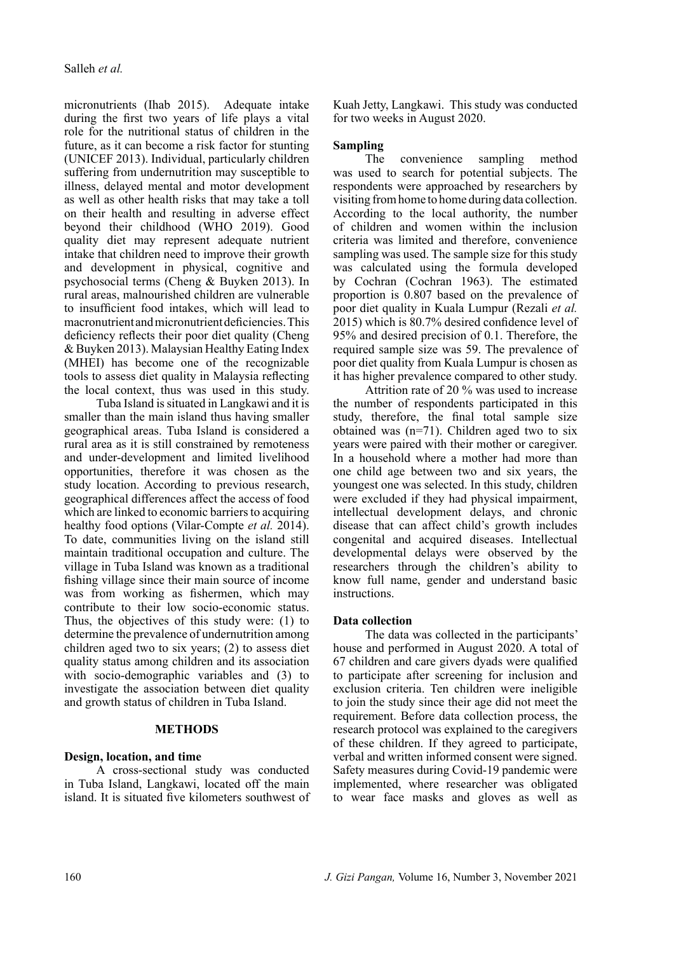micronutrients (Ihab 2015). Adequate intake during the first two years of life plays a vital role for the nutritional status of children in the future, as it can become a risk factor for stunting (UNICEF 2013). Individual, particularly children suffering from undernutrition may susceptible to illness, delayed mental and motor development as well as other health risks that may take a toll on their health and resulting in adverse effect beyond their childhood (WHO 2019). Good quality diet may represent adequate nutrient intake that children need to improve their growth and development in physical, cognitive and psychosocial terms (Cheng & Buyken 2013). In rural areas, malnourished children are vulnerable to insufficient food intakes, which will lead to macronutrient and micronutrient deficiencies. This deficiency reflects their poor diet quality (Cheng & Buyken 2013). Malaysian Healthy Eating Index (MHEI) has become one of the recognizable tools to assess diet quality in Malaysia reflecting the local context, thus was used in this study.

Tuba Island is situated in Langkawi and it is smaller than the main island thus having smaller geographical areas. Tuba Island is considered a rural area as it is still constrained by remoteness and under-development and limited livelihood opportunities, therefore it was chosen as the study location. According to previous research, geographical differences affect the access of food which are linked to economic barriers to acquiring healthy food options (Vilar-Compte *et al.* 2014). To date, communities living on the island still maintain traditional occupation and culture. The village in Tuba Island was known as a traditional fishing village since their main source of income was from working as fishermen, which may contribute to their low socio-economic status. Thus, the objectives of this study were: (1) to determine the prevalence of undernutrition among children aged two to six years; (2) to assess diet quality status among children and its association with socio-demographic variables and (3) to investigate the association between diet quality and growth status of children in Tuba Island.

### **METHODS**

### **Design, location, and time**

A cross-sectional study was conducted in Tuba Island, Langkawi, located off the main island. It is situated five kilometers southwest of Kuah Jetty, Langkawi. This study was conducted for two weeks in August 2020.

### **Sampling**

The convenience sampling method was used to search for potential subjects. The respondents were approached by researchers by visiting from home to home during data collection. According to the local authority, the number of children and women within the inclusion criteria was limited and therefore, convenience sampling was used. The sample size for this study was calculated using the formula developed by Cochran (Cochran 1963). The estimated proportion is 0.807 based on the prevalence of poor diet quality in Kuala Lumpur (Rezali *et al.* 2015) which is 80.7% desired confidence level of 95% and desired precision of 0.1. Therefore, the required sample size was 59. The prevalence of poor diet quality from Kuala Lumpur is chosen as it has higher prevalence compared to other study.

Attrition rate of 20 % was used to increase the number of respondents participated in this study, therefore, the final total sample size obtained was (n=71). Children aged two to six years were paired with their mother or caregiver. In a household where a mother had more than one child age between two and six years, the youngest one was selected. In this study, children were excluded if they had physical impairment, intellectual development delays, and chronic disease that can affect child's growth includes congenital and acquired diseases. Intellectual developmental delays were observed by the researchers through the children's ability to know full name, gender and understand basic instructions.

#### **Data collection**

The data was collected in the participants' house and performed in August 2020. A total of 67 children and care givers dyads were qualified to participate after screening for inclusion and exclusion criteria. Ten children were ineligible to join the study since their age did not meet the requirement. Before data collection process, the research protocol was explained to the caregivers of these children. If they agreed to participate, verbal and written informed consent were signed. Safety measures during Covid-19 pandemic were implemented, where researcher was obligated to wear face masks and gloves as well as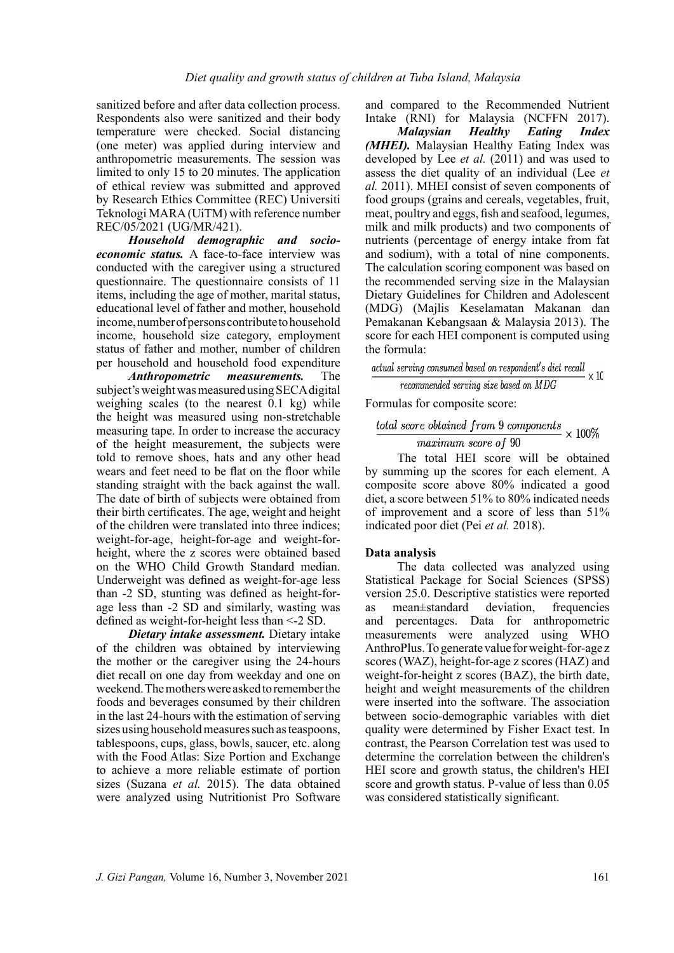sanitized before and after data collection process. Respondents also were sanitized and their body temperature were checked. Social distancing (one meter) was applied during interview and anthropometric measurements. The session was limited to only 15 to 20 minutes. The application of ethical review was submitted and approved by Research Ethics Committee (REC) Universiti Teknologi MARA (UiTM) with reference number REC/05/2021 (UG/MR/421).

*Household demographic and socioeconomic status.* A face-to-face interview was conducted with the caregiver using a structured questionnaire. The questionnaire consists of 11 items, including the age of mother, marital status, educational level of father and mother, household income, number of persons contribute to household income, household size category, employment status of father and mother, number of children per household and household food expenditure

*Anthropometric measurements.* The subject's weight was measured using SECA digital weighing scales (to the nearest 0.1 kg) while the height was measured using non-stretchable measuring tape. In order to increase the accuracy of the height measurement, the subjects were told to remove shoes, hats and any other head wears and feet need to be flat on the floor while standing straight with the back against the wall. The date of birth of subjects were obtained from their birth certificates. The age, weight and height of the children were translated into three indices; weight-for-age, height-for-age and weight-forheight, where the z scores were obtained based on the WHO Child Growth Standard median. Underweight was defined as weight-for-age less than -2 SD, stunting was defined as height-forage less than -2 SD and similarly, wasting was defined as weight-for-height less than <-2 SD.

*Dietary intake assessment.* Dietary intake of the children was obtained by interviewing the mother or the caregiver using the 24-hours diet recall on one day from weekday and one on weekend. The mothers were asked to remember the foods and beverages consumed by their children in the last 24-hours with the estimation of serving sizes using household measures such as teaspoons, tablespoons, cups, glass, bowls, saucer, etc. along with the Food Atlas: Size Portion and Exchange to achieve a more reliable estimate of portion sizes (Suzana *et al.* 2015). The data obtained were analyzed using Nutritionist Pro Software

and compared to the Recommended Nutrient Intake (RNI) for Malaysia (NCFFN 2017).

*Malaysian Healthy Eating Index (MHEI).* Malaysian Healthy Eating Index was developed by Lee *et al.* (2011) and was used to assess the diet quality of an individual (Lee *et al.* 2011). MHEI consist of seven components of food groups (grains and cereals, vegetables, fruit, meat, poultry and eggs, fish and seafood, legumes, milk and milk products) and two components of nutrients (percentage of energy intake from fat and sodium), with a total of nine components. The calculation scoring component was based on the recommended serving size in the Malaysian Dietary Guidelines for Children and Adolescent (MDG) (Majlis Keselamatan Makanan dan Pemakanan Kebangsaan & Malaysia 2013). The score for each HEI component is computed using

the formula:<br>actual serving consumed based on respondent's diet recall  $\times$  10 recommended serving size based on MDG

Formulas for composite score:

The total HEI score will be obtained by summing up the scores for each element. A composite score above 80% indicated a good diet, a score between 51% to 80% indicated needs of improvement and a score of less than 51% indicated poor diet (Pei *et al.* 2018).

## **Data analysis**

The data collected was analyzed using Statistical Package for Social Sciences (SPSS) version 25.0. Descriptive statistics were reported as mean±standard deviation, frequencies and percentages. Data for anthropometric measurements were analyzed using WHO AnthroPlus. To generate value for weight-for-age z scores (WAZ), height-for-age z scores (HAZ) and weight-for-height z scores (BAZ), the birth date, height and weight measurements of the children were inserted into the software. The association between socio-demographic variables with diet quality were determined by Fisher Exact test. In contrast, the Pearson Correlation test was used to determine the correlation between the children's HEI score and growth status, the children's HEI score and growth status. P-value of less than 0.05 was considered statistically significant.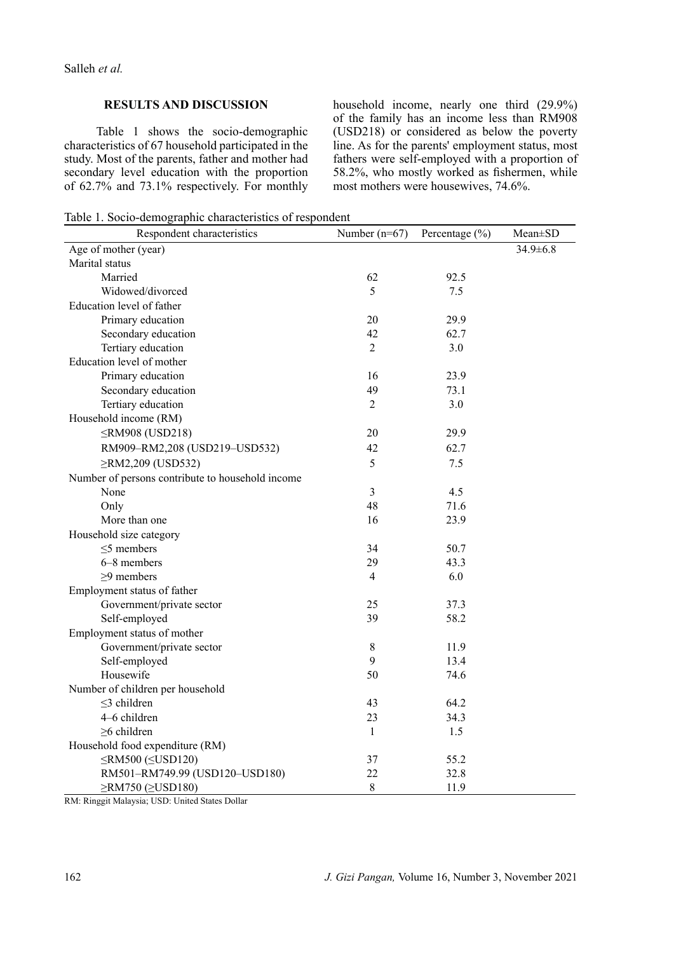Salleh *et al.*

### **RESULTS AND DISCUSSION**

Table 1 shows the socio-demographic characteristics of 67 household participated in the study. Most of the parents, father and mother had secondary level education with the proportion of 62.7% and 73.1% respectively. For monthly household income, nearly one third (29.9%) of the family has an income less than RM908 (USD218) or considered as below the poverty line. As for the parents' employment status, most fathers were self-employed with a proportion of 58.2%, who mostly worked as fishermen, while most mothers were housewives, 74.6%.

Table 1. Socio-demographic characteristics of respondent

| Respondent characteristics                       | Number $(n=67)$ | Percentage $(\% )$ | Mean±SD        |
|--------------------------------------------------|-----------------|--------------------|----------------|
| Age of mother (year)                             |                 |                    | $34.9 \pm 6.8$ |
| Marital status                                   |                 |                    |                |
| Married                                          | 62              | 92.5               |                |
| Widowed/divorced                                 | 5               | 7.5                |                |
| Education level of father                        |                 |                    |                |
| Primary education                                | 20              | 29.9               |                |
| Secondary education                              | 42              | 62.7               |                |
| Tertiary education                               | $\overline{2}$  | 3.0                |                |
| Education level of mother                        |                 |                    |                |
| Primary education                                | 16              | 23.9               |                |
| Secondary education                              | 49              | 73.1               |                |
| Tertiary education                               | $\overline{2}$  | 3.0                |                |
| Household income (RM)                            |                 |                    |                |
| ≤RM908 (USD218)                                  | 20              | 29.9               |                |
| RM909-RM2,208 (USD219-USD532)                    | 42              | 62.7               |                |
| ≥RM2,209 (USD532)                                | 5               | 7.5                |                |
| Number of persons contribute to household income |                 |                    |                |
| None                                             | $\mathfrak{Z}$  | 4.5                |                |
| Only                                             | 48              | 71.6               |                |
| More than one                                    | 16              | 23.9               |                |
| Household size category                          |                 |                    |                |
| $\leq$ 5 members                                 | 34              | 50.7               |                |
| 6-8 members                                      | 29              | 43.3               |                |
| $\geq$ 9 members                                 | $\overline{4}$  | 6.0                |                |
| Employment status of father                      |                 |                    |                |
| Government/private sector                        | 25              | 37.3               |                |
| Self-employed                                    | 39              | 58.2               |                |
| Employment status of mother                      |                 |                    |                |
| Government/private sector                        | $\,$ 8 $\,$     | 11.9               |                |
| Self-employed                                    | 9               | 13.4               |                |
| Housewife                                        | 50              | 74.6               |                |
| Number of children per household                 |                 |                    |                |
| $\leq$ 3 children                                | 43              | 64.2               |                |
| 4-6 children                                     | 23              | 34.3               |                |
| $\geq$ 6 children                                | $\mathbf{1}$    | 1.5                |                |
| Household food expenditure (RM)                  |                 |                    |                |
| $\leq$ RM500 ( $\leq$ USD120)                    | 37              | 55.2               |                |
| RM501-RM749.99 (USD120-USD180)                   | 22              | 32.8               |                |
| ≥RM750 (≥USD180)                                 | $\,8\,$         | 11.9               |                |

RM: Ringgit Malaysia; USD: United States Dollar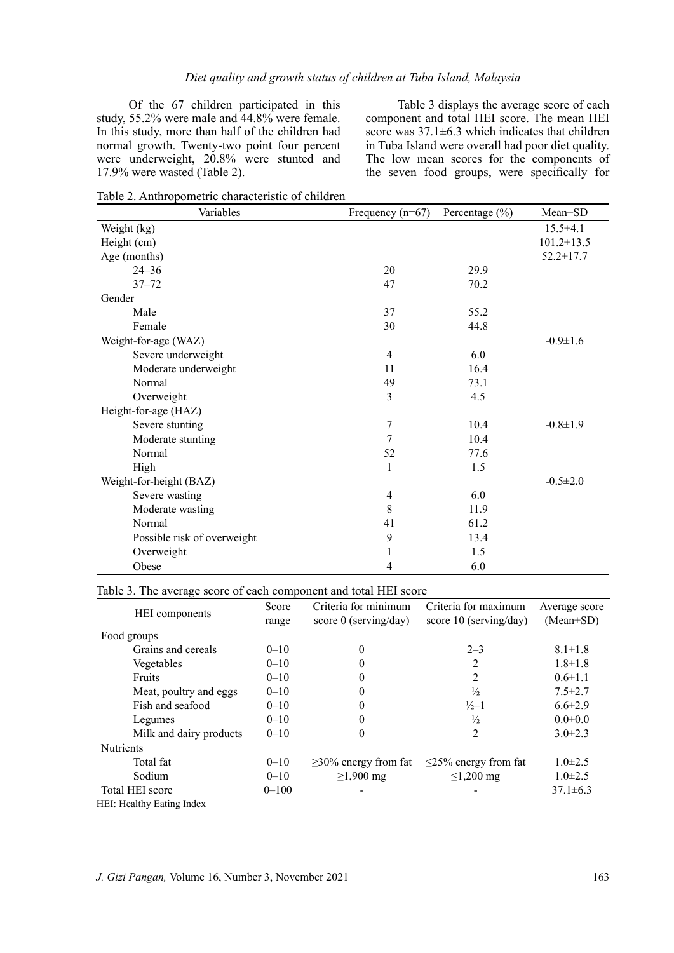Of the 67 children participated in this study, 55.2% were male and 44.8% were female. In this study, more than half of the children had normal growth. Twenty-two point four percent were underweight, 20.8% were stunted and 17.9% were wasted (Table 2).

Table 3 displays the average score of each component and total HEI score. The mean HEI score was  $37.1 \pm 6.3$  which indicates that children in Tuba Island were overall had poor diet quality. The low mean scores for the components of the seven food groups, were specifically for

Table 2. Anthropometric characteristic of children

| Variables                   | Frequency $(n=67)$ | Percentage $(\% )$ | $Mean \pm SD$    |
|-----------------------------|--------------------|--------------------|------------------|
| Weight (kg)                 |                    |                    | $15.5 \pm 4.1$   |
| Height (cm)                 |                    |                    | $101.2 \pm 13.5$ |
| Age (months)                |                    |                    | $52.2 \pm 17.7$  |
| $24 - 36$                   | 20                 | 29.9               |                  |
| $37 - 72$                   | 47                 | 70.2               |                  |
| Gender                      |                    |                    |                  |
| Male                        | 37                 | 55.2               |                  |
| Female                      | 30                 | 44.8               |                  |
| Weight-for-age (WAZ)        |                    |                    | $-0.9 \pm 1.6$   |
| Severe underweight          | $\overline{4}$     | 6.0                |                  |
| Moderate underweight        | 11                 | 16.4               |                  |
| Normal                      | 49                 | 73.1               |                  |
| Overweight                  | 3                  | 4.5                |                  |
| Height-for-age (HAZ)        |                    |                    |                  |
| Severe stunting             | $\tau$             | 10.4               | $-0.8 \pm 1.9$   |
| Moderate stunting           | 7                  | 10.4               |                  |
| Normal                      | 52                 | 77.6               |                  |
| High                        | 1                  | 1.5                |                  |
| Weight-for-height (BAZ)     |                    |                    | $-0.5 \pm 2.0$   |
| Severe wasting              | $\overline{4}$     | 6.0                |                  |
| Moderate wasting            | $8\,$              | 11.9               |                  |
| Normal                      | 41                 | 61.2               |                  |
| Possible risk of overweight | 9                  | 13.4               |                  |
| Overweight                  | 1                  | 1.5                |                  |
| Obese                       | 4                  | 6.0                |                  |

### Table 3. The average score of each component and total HEI score

| <b>HEI</b> components   | Score     | Criteria for minimum       | Criteria for maximum       | Average score   |
|-------------------------|-----------|----------------------------|----------------------------|-----------------|
|                         | range     | score $0$ (serving/day)    | score $10$ (serving/day)   | $(Mean \pm SD)$ |
| Food groups             |           |                            |                            |                 |
| Grains and cereals      | $0 - 10$  | $\theta$                   | $2 - 3$                    | $8.1 \pm 1.8$   |
| Vegetables              | $0 - 10$  | $\theta$                   | 2                          | $1.8 \pm 1.8$   |
| Fruits                  | $0 - 10$  | $\theta$                   | 2                          | $0.6 \pm 1.1$   |
| Meat, poultry and eggs  | $0 - 10$  | $\theta$                   | $\frac{1}{2}$              | $7.5 \pm 2.7$   |
| Fish and seafood        | $0 - 10$  | $\theta$                   | $\frac{1}{2}$ -1           | $6.6 \pm 2.9$   |
| Legumes                 | $0 - 10$  | $\theta$                   | $\frac{1}{2}$              | $0.0 \pm 0.0$   |
| Milk and dairy products | $0 - 10$  | $\theta$                   | 2                          | $3.0 \pm 2.3$   |
| <b>Nutrients</b>        |           |                            |                            |                 |
| Total fat               | $0 - 10$  | $\geq$ 30% energy from fat | $\leq$ 25% energy from fat | $1.0 \pm 2.5$   |
| Sodium                  | $0 - 10$  | $≥1,900$ mg                | $≤1,200$ mg                | $1.0\pm2.5$     |
| Total HEI score         | $0 - 100$ |                            |                            | $37.1 \pm 6.3$  |

HEI: Healthy Eating Index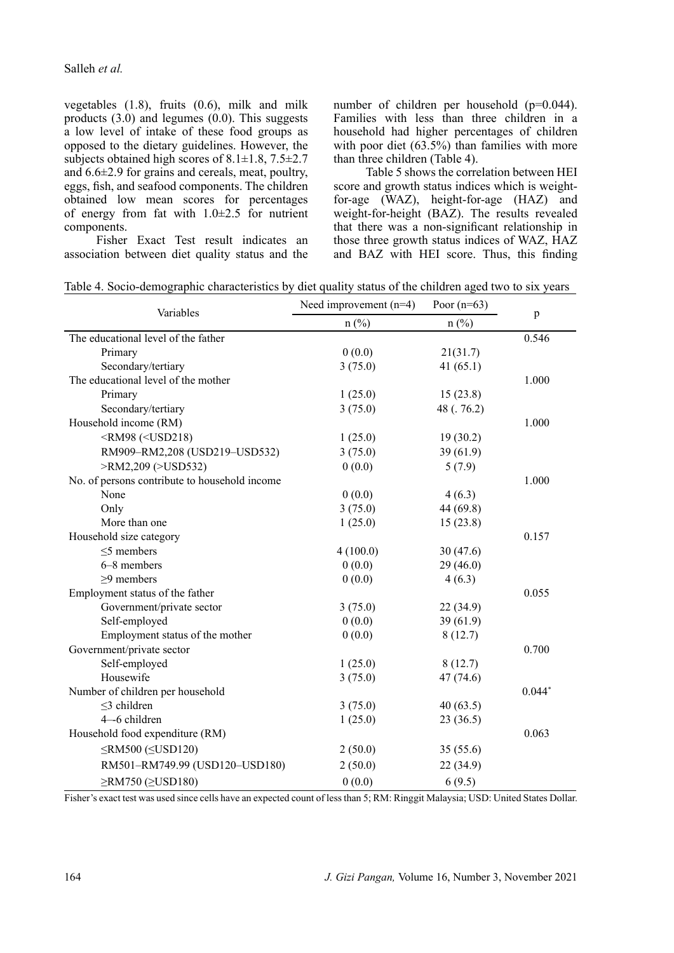Salleh *et al.*

vegetables (1.8), fruits (0.6), milk and milk products (3.0) and legumes (0.0). This suggests a low level of intake of these food groups as opposed to the dietary guidelines. However, the subjects obtained high scores of  $8.1 \pm 1.8$ ,  $7.5 \pm 2.7$ and 6.6±2.9 for grains and cereals, meat, poultry, eggs, fish, and seafood components. The children obtained low mean scores for percentages of energy from fat with  $1.0\pm 2.5$  for nutrient components.

number of children per household (p=0.044). Families with less than three children in a household had higher percentages of children with poor diet  $(63.5%)$  than families with more than three children (Table 4).

Table 5 shows the correlation between HEI score and growth status indices which is weightfor-age (WAZ), height-for-age (HAZ) and weight-for-height (BAZ). The results revealed that there was a non-significant relationship in those three growth status indices of WAZ, HAZ and BAZ with HEI score. Thus, this finding

Fisher Exact Test result indicates an association between diet quality status and the

|  | Table 4. Socio-demographic characteristics by diet quality status of the children aged two to six years |
|--|---------------------------------------------------------------------------------------------------------|
|  |                                                                                                         |

| Variables                                                                   | Need improvement $(n=4)$ | Poor $(n=63)$ |          |
|-----------------------------------------------------------------------------|--------------------------|---------------|----------|
|                                                                             | $n$ (%)                  | $n$ (%)       | p        |
| The educational level of the father                                         |                          |               | 0.546    |
| Primary                                                                     | 0(0.0)                   | 21(31.7)      |          |
| Secondary/tertiary                                                          | 3(75.0)                  | 41 $(65.1)$   |          |
| The educational level of the mother                                         |                          |               | 1.000    |
| Primary                                                                     | 1(25.0)                  | 15(23.8)      |          |
| Secondary/tertiary                                                          | 3(75.0)                  | 48 (. 76.2)   |          |
| Household income (RM)                                                       |                          |               | 1.000    |
| <rm98 (<usd218)<="" td=""><td>1(25.0)</td><td>19(30.2)</td><td></td></rm98> | 1(25.0)                  | 19(30.2)      |          |
| RM909-RM2,208 (USD219-USD532)                                               | 3(75.0)                  | 39(61.9)      |          |
| >RM2,209 (>USD532)                                                          | 0(0.0)                   | 5(7.9)        |          |
| No. of persons contribute to household income                               |                          |               | 1.000    |
| None                                                                        | 0(0.0)                   | 4(6.3)        |          |
| Only                                                                        | 3(75.0)                  | 44 (69.8)     |          |
| More than one                                                               | 1(25.0)                  | 15(23.8)      |          |
| Household size category                                                     |                          |               | 0.157    |
| $\leq$ 5 members                                                            | 4(100.0)                 | 30(47.6)      |          |
| 6-8 members                                                                 | 0(0.0)                   | 29(46.0)      |          |
| $\geq$ 9 members                                                            | 0(0.0)                   | 4(6.3)        |          |
| Employment status of the father                                             |                          |               | 0.055    |
| Government/private sector                                                   | 3(75.0)                  | 22 (34.9)     |          |
| Self-employed                                                               | 0(0.0)                   | 39(61.9)      |          |
| Employment status of the mother                                             | 0(0.0)                   | 8(12.7)       |          |
| Government/private sector                                                   |                          |               | 0.700    |
| Self-employed                                                               | 1(25.0)                  | 8(12.7)       |          |
| Housewife                                                                   | 3(75.0)                  | 47(74.6)      |          |
| Number of children per household                                            |                          |               | $0.044*$ |
| $\leq$ 3 children                                                           | 3(75.0)                  | 40(63.5)      |          |
| 4-6 children                                                                | 1(25.0)                  | 23(36.5)      |          |
| Household food expenditure (RM)                                             |                          |               | 0.063    |
| $\leq$ RM500 ( $\leq$ USD120)                                               | 2(50.0)                  | 35(55.6)      |          |
| RM501-RM749.99 (USD120-USD180)                                              | 2(50.0)                  | 22(34.9)      |          |
| $\geq$ RM750 ( $\geq$ USD180)                                               | 0(0.0)                   | 6(9.5)        |          |

Fisher's exact test was used since cells have an expected count of less than 5; RM: Ringgit Malaysia; USD: United States Dollar.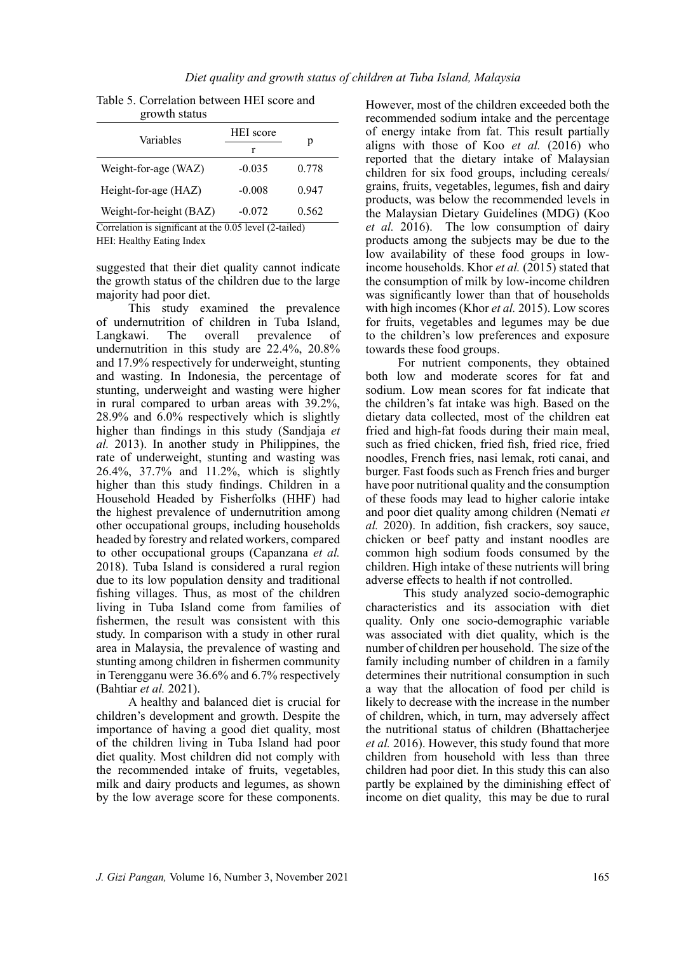| Table 5. Correlation between HEI score and |  |
|--------------------------------------------|--|
| growth status                              |  |

| $H$ . The state of $H$  |                  |       |   |  |
|-------------------------|------------------|-------|---|--|
| Variables               | <b>HEI</b> score |       |   |  |
|                         | r                |       | p |  |
| Weight-for-age (WAZ)    | $-0.035$         | 0.778 |   |  |
| Height-for-age (HAZ)    | $-0.008$         | 0.947 |   |  |
| Weight-for-height (BAZ) | $-0.072$         | 0.562 |   |  |
| $0.001$ $(0.11)$        |                  |       |   |  |

Correlation is significant at the 0.05 level (2-tailed) HEI: Healthy Eating Index

suggested that their diet quality cannot indicate the growth status of the children due to the large majority had poor diet.

This study examined the prevalence of undernutrition of children in Tuba Island, Langkawi. The overall prevalence of undernutrition in this study are 22.4%, 20.8% and 17.9% respectively for underweight, stunting and wasting. In Indonesia, the percentage of stunting, underweight and wasting were higher in rural compared to urban areas with 39.2%, 28.9% and 6.0% respectively which is slightly higher than findings in this study (Sandjaja *et al.* 2013). In another study in Philippines, the rate of underweight, stunting and wasting was 26.4%, 37.7% and 11.2%, which is slightly higher than this study findings. Children in a Household Headed by Fisherfolks (HHF) had the highest prevalence of undernutrition among other occupational groups, including households headed by forestry and related workers, compared to other occupational groups (Capanzana *et al.* 2018). Tuba Island is considered a rural region due to its low population density and traditional fishing villages. Thus, as most of the children living in Tuba Island come from families of fishermen, the result was consistent with this study. In comparison with a study in other rural area in Malaysia, the prevalence of wasting and stunting among children in fishermen community in Terengganu were 36.6% and 6.7% respectively (Bahtiar *et al.* 2021).

A healthy and balanced diet is crucial for children's development and growth. Despite the importance of having a good diet quality, most of the children living in Tuba Island had poor diet quality. Most children did not comply with the recommended intake of fruits, vegetables, milk and dairy products and legumes, as shown by the low average score for these components.

However, most of the children exceeded both the recommended sodium intake and the percentage of energy intake from fat. This result partially aligns with those of Koo *et al.* (2016) who reported that the dietary intake of Malaysian children for six food groups, including cereals/ grains, fruits, vegetables, legumes, fish and dairy products, was below the recommended levels in the Malaysian Dietary Guidelines (MDG) (Koo *et al.* 2016). The low consumption of dairy products among the subjects may be due to the low availability of these food groups in lowincome households. Khor *et al.* (2015) stated that the consumption of milk by low-income children was significantly lower than that of households with high incomes (Khor *et al.* 2015). Low scores for fruits, vegetables and legumes may be due to the children's low preferences and exposure towards these food groups.

For nutrient components, they obtained both low and moderate scores for fat and sodium. Low mean scores for fat indicate that the children's fat intake was high. Based on the dietary data collected, most of the children eat fried and high-fat foods during their main meal, such as fried chicken, fried fish, fried rice, fried noodles, French fries, nasi lemak, roti canai, and burger. Fast foods such as French fries and burger have poor nutritional quality and the consumption of these foods may lead to higher calorie intake and poor diet quality among children (Nemati *et al.* 2020). In addition, fish crackers, soy sauce, chicken or beef patty and instant noodles are common high sodium foods consumed by the children. High intake of these nutrients will bring adverse effects to health if not controlled.

 This study analyzed socio-demographic characteristics and its association with diet quality. Only one socio-demographic variable was associated with diet quality, which is the number of children per household. The size of the family including number of children in a family determines their nutritional consumption in such a way that the allocation of food per child is likely to decrease with the increase in the number of children, which, in turn, may adversely affect the nutritional status of children (Bhattacherjee *et al.* 2016). However, this study found that more children from household with less than three children had poor diet. In this study this can also partly be explained by the diminishing effect of income on diet quality, this may be due to rural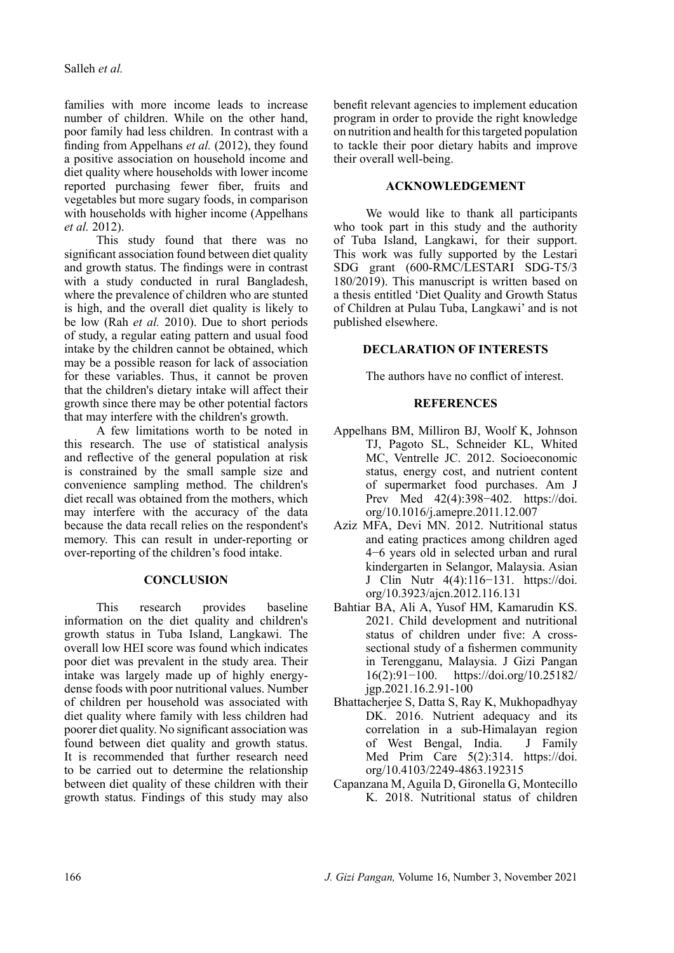families with more income leads to increase number of children. While on the other hand, poor family had less children. In contrast with a finding from Appelhans *et al.* (2012), they found a positive association on household income and diet quality where households with lower income reported purchasing fewer fiber, fruits and vegetables but more sugary foods, in comparison with households with higher income (Appelhans *et al.* 2012).

This study found that there was no significant association found between diet quality and growth status. The findings were in contrast with a study conducted in rural Bangladesh, where the prevalence of children who are stunted is high, and the overall diet quality is likely to be low (Rah *et al.* 2010). Due to short periods of study, a regular eating pattern and usual food intake by the children cannot be obtained, which may be a possible reason for lack of association for these variables. Thus, it cannot be proven that the children's dietary intake will affect their growth since there may be other potential factors that may interfere with the children's growth.

A few limitations worth to be noted in this research. The use of statistical analysis and reflective of the general population at risk is constrained by the small sample size and convenience sampling method. The children's diet recall was obtained from the mothers, which may interfere with the accuracy of the data because the data recall relies on the respondent's memory. This can result in under-reporting or over-reporting of the children's food intake.

## **CONCLUSION**

This research provides baseline information on the diet quality and children's growth status in Tuba Island, Langkawi. The overall low HEI score was found which indicates poor diet was prevalent in the study area. Their intake was largely made up of highly energydense foods with poor nutritional values. Number of children per household was associated with diet quality where family with less children had poorer diet quality. No significant association was found between diet quality and growth status. It is recommended that further research need to be carried out to determine the relationship between diet quality of these children with their growth status. Findings of this study may also benefit relevant agencies to implement education program in order to provide the right knowledge on nutrition and health for this targeted population to tackle their poor dietary habits and improve their overall well-being.

## **ACKNOWLEDGEMENT**

We would like to thank all participants who took part in this study and the authority of Tuba Island, Langkawi, for their support. This work was fully supported by the Lestari SDG grant (600-RMC/LESTARI SDG-T5/3 180/2019). This manuscript is written based on a thesis entitled 'Diet Quality and Growth Status of Children at Pulau Tuba, Langkawi' and is not published elsewhere.

# **DECLARATION OF INTERESTS**

The authors have no conflict of interest.

# **REFERENCES**

- Appelhans BM, Milliron BJ, Woolf K, Johnson TJ, Pagoto SL, Schneider KL, Whited MC, Ventrelle JC. 2012. Socioeconomic status, energy cost, and nutrient content of supermarket food purchases. Am J Prev Med 42(4):398−402. [https://doi.](https://doi.org/10.1016/j.amepre.2011.12.007) [org/10.1016/j.amepre.2011.12.007](https://doi.org/10.1016/j.amepre.2011.12.007)
- Aziz MFA, Devi MN. 2012. Nutritional status and eating practices among children aged 4−6 years old in selected urban and rural kindergarten in Selangor, Malaysia. Asian J Clin Nutr 4(4):116−131. [https://doi.](https://doi.org/10.3923/ajcn.2012.116.131) [org/10.3923/ajcn.2012.116.131](https://doi.org/10.3923/ajcn.2012.116.131)
- Bahtiar BA, Ali A, Yusof HM, Kamarudin KS. 2021. Child development and nutritional status of children under five: A crosssectional study of a fishermen community in Terengganu, Malaysia. J Gizi Pangan 16(2):91−100. [https://doi.org/10.25182/](https://doi.org/10.25182/jgp.2021.16.2.91-100) [jgp.2021.16.2.91-100](https://doi.org/10.25182/jgp.2021.16.2.91-100)
- Bhattacherjee S, Datta S, Ray K, Mukhopadhyay DK. 2016. Nutrient adequacy and its correlation in a sub-Himalayan region of West Bengal, India. J Family Med Prim Care 5(2):314. [https://doi.](https://doi.org/10.4103/2249-4863.192315) [org/10.4103/2249-4863.192315](https://doi.org/10.4103/2249-4863.192315)
- Capanzana M, Aguila D, Gironella G, Montecillo K. 2018. Nutritional status of children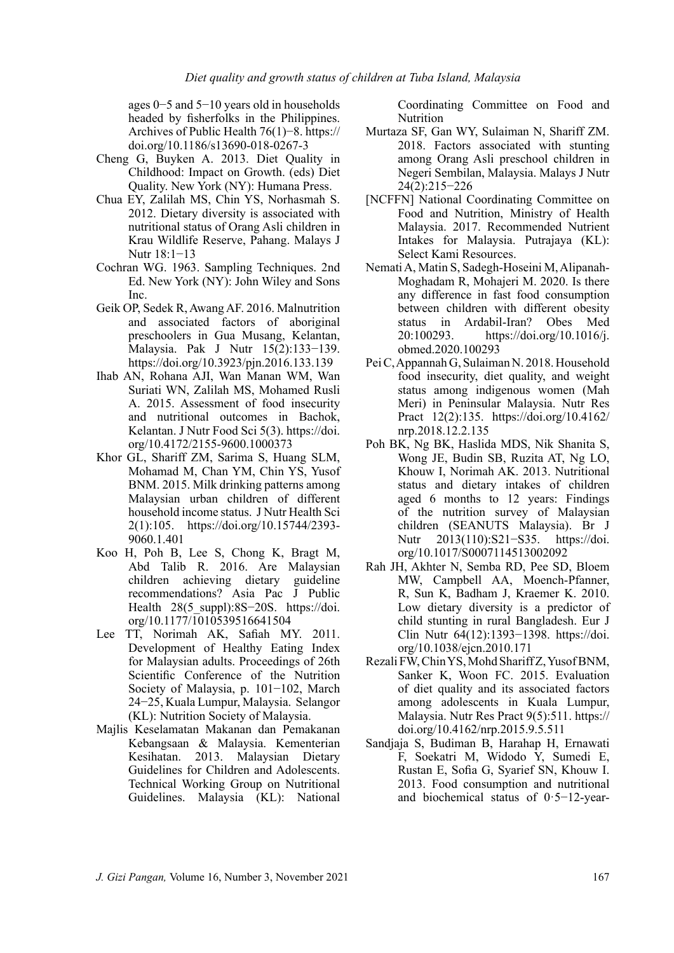ages 0−5 and 5−10 years old in households headed by fisherfolks in the Philippines. Archives of Public Health 76(1)−8. [https://](https://doi.org/10.1186/s13690-018-0267-3) [doi.org/10.1186/s13690-018-0267-3](https://doi.org/10.1186/s13690-018-0267-3)

- Cheng G, Buyken A. 2013. Diet Quality in Childhood: Impact on Growth. (eds) Diet Quality. New York (NY): Humana Press.
- Chua EY, Zalilah MS, Chin YS, Norhasmah S. 2012. Dietary diversity is associated with nutritional status of Orang Asli children in Krau Wildlife Reserve, Pahang. Malays J Nutr 18:1−13
- Cochran WG. 1963. Sampling Techniques. 2nd Ed. New York (NY): John Wiley and Sons Inc.
- Geik OP, Sedek R, Awang AF. 2016. Malnutrition and associated factors of aboriginal preschoolers in Gua Musang, Kelantan, Malaysia. Pak J Nutr 15(2):133−139. <https://doi.org/10.3923/pjn.2016.133.139>
- Ihab AN, Rohana AJI, Wan Manan WM, Wan Suriati WN, Zalilah MS, Mohamed Rusli A. 2015. Assessment of food insecurity and nutritional outcomes in Bachok, Kelantan. J Nutr Food Sci 5(3). [https://doi.](https://doi.org/10.4172/2155-9600.1000373) [org/10.4172/2155-9600.1000373](https://doi.org/10.4172/2155-9600.1000373)
- Khor GL, Shariff ZM, Sarima S, Huang SLM, Mohamad M, Chan YM, Chin YS, Yusof BNM. 2015. Milk drinking patterns among Malaysian urban children of different household income status. J Nutr Health Sci 2(1):105. [https://doi.org/10.15744/2393-](https://doi.org/10.15744/2393-9060.1.401) [9060.1.401](https://doi.org/10.15744/2393-9060.1.401)
- Koo H, Poh B, Lee S, Chong K, Bragt M, Abd Talib R. 2016. Are Malaysian children achieving dietary guideline recommendations? Asia Pac J Public Health 28(5 suppl):8S−20S. [https://doi.](https://doi.org/10.1177/1010539516641504) [org/10.1177/1010539516641504](https://doi.org/10.1177/1010539516641504)
- Lee TT, Norimah AK, Safiah MY. 2011. Development of Healthy Eating Index for Malaysian adults. Proceedings of 26th Scientific Conference of the Nutrition Society of Malaysia, p. 101−102, March 24−25, Kuala Lumpur, Malaysia. Selangor (KL): Nutrition Society of Malaysia.
- Majlis Keselamatan Makanan dan Pemakanan Kebangsaan & Malaysia. Kementerian Kesihatan. 2013. Malaysian Dietary Guidelines for Children and Adolescents. Technical Working Group on Nutritional Guidelines. Malaysia (KL): National

Coordinating Committee on Food and Nutrition

- Murtaza SF, Gan WY, Sulaiman N, Shariff ZM. 2018. Factors associated with stunting among Orang Asli preschool children in Negeri Sembilan, Malaysia. Malays J Nutr 24(2):215−226
- [NCFFN] National Coordinating Committee on Food and Nutrition, Ministry of Health Malaysia. 2017. Recommended Nutrient Intakes for Malaysia. Putrajaya (KL): Select Kami Resources.
- Nemati A, Matin S, Sadegh-Hoseini M, Alipanah-Moghadam R, Mohajeri M. 2020. Is there any difference in fast food consumption between children with different obesity status in Ardabil-Iran? Obes Med 20:100293. [https://doi.org/10.1016/j.](https://doi.org/10.1016/j.obmed.2020.100293) [obmed.2020.100293](https://doi.org/10.1016/j.obmed.2020.100293)
- Pei C, Appannah G, Sulaiman N. 2018. Household food insecurity, diet quality, and weight status among indigenous women (Mah Meri) in Peninsular Malaysia. Nutr Res Pract 12(2):135. [https://doi.org/10.4162/](https://doi.org/10.4162/nrp.2018.12.2.135%0D) [nrp.2018.12.2.135](https://doi.org/10.4162/nrp.2018.12.2.135%0D)
- Poh BK, Ng BK, Haslida MDS, Nik Shanita S, Wong JE, Budin SB, Ruzita AT, Ng LO, Khouw I, Norimah AK. 2013. Nutritional status and dietary intakes of children aged 6 months to 12 years: Findings of the nutrition survey of Malaysian children (SEANUTS Malaysia). Br J Nutr 2013(110):S21−S35. [https://doi.](https://doi.org/10.1017/S0007114513002092) [org/10.1017/S0007114513002092](https://doi.org/10.1017/S0007114513002092)
- Rah JH, Akhter N, Semba RD, Pee SD, Bloem MW, Campbell AA, Moench-Pfanner, R, Sun K, Badham J, Kraemer K. 2010. Low dietary diversity is a predictor of child stunting in rural Bangladesh. Eur J Clin Nutr 64(12):1393−1398. [https://doi.](https://doi.org/10.1038/ejcn.2010.171) [org/10.1038/ejcn.2010.171](https://doi.org/10.1038/ejcn.2010.171)
- Rezali FW, Chin YS, Mohd Shariff Z, Yusof BNM, Sanker K, Woon FC. 2015. Evaluation of diet quality and its associated factors among adolescents in Kuala Lumpur, Malaysia. Nutr Res Pract 9(5):511. [https://](https://doi.org/10.4162/nrp.2015.9.5.511) [doi.org/10.4162/nrp.2015.9.5.511](https://doi.org/10.4162/nrp.2015.9.5.511)
- Sandjaja S, Budiman B, Harahap H, Ernawati F, Soekatri M, Widodo Y, Sumedi E, Rustan E, Sofia G, Syarief SN, Khouw I. 2013. Food consumption and nutritional and biochemical status of 0·5−12-year-